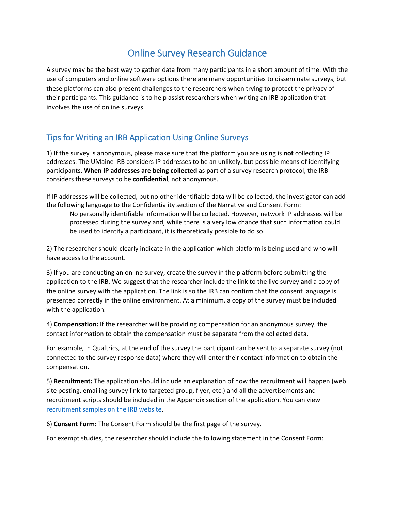# Online Survey Research Guidance

A survey may be the best way to gather data from many participants in a short amount of time. With the use of computers and online software options there are many opportunities to disseminate surveys, but these platforms can also present challenges to the researchers when trying to protect the privacy of their participants. This guidance is to help assist researchers when writing an IRB application that involves the use of online surveys.

# Tips for Writing an IRB Application Using Online Surveys

1) If the survey is anonymous, please make sure that the platform you are using is **not** collecting IP addresses. The UMaine IRB considers IP addresses to be an unlikely, but possible means of identifying participants. **When IP addresses are being collected** as part of a survey research protocol, the IRB considers these surveys to be **confidential**, not anonymous.

If IP addresses will be collected, but no other identifiable data will be collected, the investigator can add the following language to the Confidentiality section of the Narrative and Consent Form:

No personally identifiable information will be collected. However, network IP addresses will be processed during the survey and, while there is a very low chance that such information could be used to identify a participant, it is theoretically possible to do so.

2) The researcher should clearly indicate in the application which platform is being used and who will have access to the account.

3) If you are conducting an online survey, create the survey in the platform before submitting the application to the IRB. We suggest that the researcher include the link to the live survey **and** a copy of the online survey with the application. The link is so the IRB can confirm that the consent language is presented correctly in the online environment. At a minimum, a copy of the survey must be included with the application.

4) **Compensation:** If the researcher will be providing compensation for an anonymous survey, the contact information to obtain the compensation must be separate from the collected data.

For example, in Qualtrics, at the end of the survey the participant can be sent to a separate survey (not connected to the survey response data) where they will enter their contact information to obtain the compensation.

5) **Recruitment:** The application should include an explanation of how the recruitment will happen (web site posting, emailing survey link to targeted group, flyer, etc.) and all the advertisements and recruitment scripts should be included in the Appendix section of the application. You can view [recruitment samples on the IRB website.](https://umaine.edu/research-compliance/human-subjects/forms/)

6) **Consent Form:** The Consent Form should be the first page of the survey.

For exempt studies, the researcher should include the following statement in the Consent Form: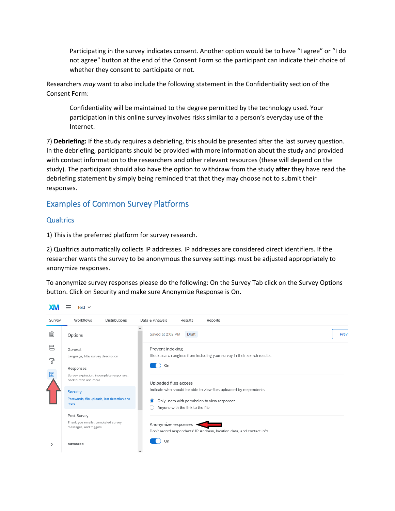Participating in the survey indicates consent. Another option would be to have "I agree" or "I do not agree" button at the end of the Consent Form so the participant can indicate their choice of whether they consent to participate or not.

Researchers *may* want to also include the following statement in the Confidentiality section of the Consent Form:

Confidentiality will be maintained to the degree permitted by the technology used. Your participation in this online survey involves risks similar to a person's everyday use of the Internet.

7) **Debriefing:** If the study requires a debriefing, this should be presented after the last survey question. In the debriefing, participants should be provided with more information about the study and provided with contact information to the researchers and other relevant resources (these will depend on the study). The participant should also have the option to withdraw from the study **after** they have read the debriefing statement by simply being reminded that that they may choose not to submit their responses.

## Examples of Common Survey Platforms

#### **Qualtrics**

1) This is the preferred platform for survey research.

2) Qualtrics automatically collects IP addresses. IP addresses are considered direct identifiers. If the researcher wants the survey to be anonymous the survey settings must be adjusted appropriately to anonymize responses.

To anonymize survey responses please do the following: On the Survey Tab click on the Survey Options button. Click on Security and make sure Anonymize Response is On.